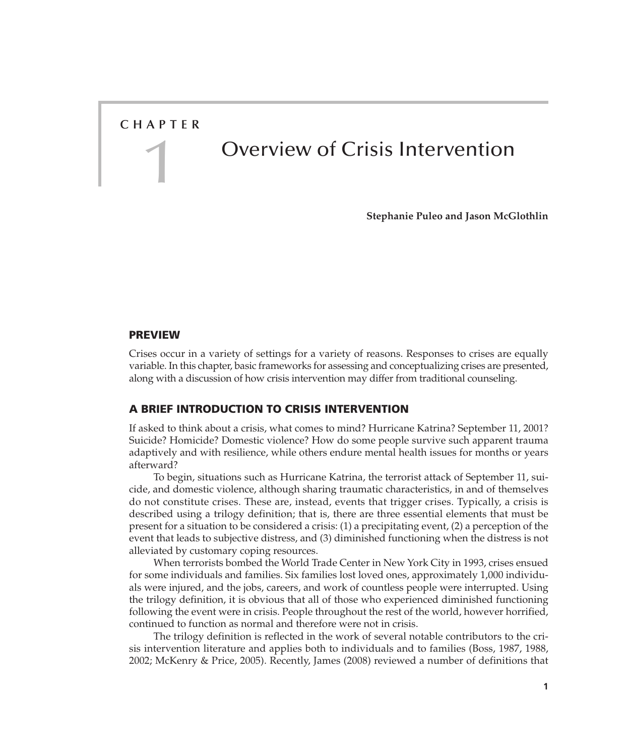**CHAPTER**

# **Overview of Crisis Intervention**

**Stephanie Puleo and Jason McGlothlin**

### PREVIEW

Crises occur in a variety of settings for a variety of reasons. Responses to crises are equally variable. In this chapter, basic frameworks for assessing and conceptualizing crises are presented, along with a discussion of how crisis intervention may differ from traditional counseling.

# A BRIEF INTRODUCTION TO CRISIS INTERVENTION

If asked to think about a crisis, what comes to mind? Hurricane Katrina? September 11, 2001? Suicide? Homicide? Domestic violence? How do some people survive such apparent trauma adaptively and with resilience, while others endure mental health issues for months or years afterward?

To begin, situations such as Hurricane Katrina, the terrorist attack of September 11, suicide, and domestic violence, although sharing traumatic characteristics, in and of themselves do not constitute crises. These are, instead, events that trigger crises. Typically, a crisis is described using a trilogy definition; that is, there are three essential elements that must be present for a situation to be considered a crisis: (1) a precipitating event, (2) a perception of the event that leads to subjective distress, and (3) diminished functioning when the distress is not alleviated by customary coping resources.

When terrorists bombed the World Trade Center in New York City in 1993, crises ensued for some individuals and families. Six families lost loved ones, approximately 1,000 individuals were injured, and the jobs, careers, and work of countless people were interrupted. Using the trilogy definition, it is obvious that all of those who experienced diminished functioning following the event were in crisis. People throughout the rest of the world, however horrified, continued to function as normal and therefore were not in crisis.

The trilogy definition is reflected in the work of several notable contributors to the crisis intervention literature and applies both to individuals and to families (Boss, 1987, 1988, 2002; McKenry & Price, 2005). Recently, James (2008) reviewed a number of definitions that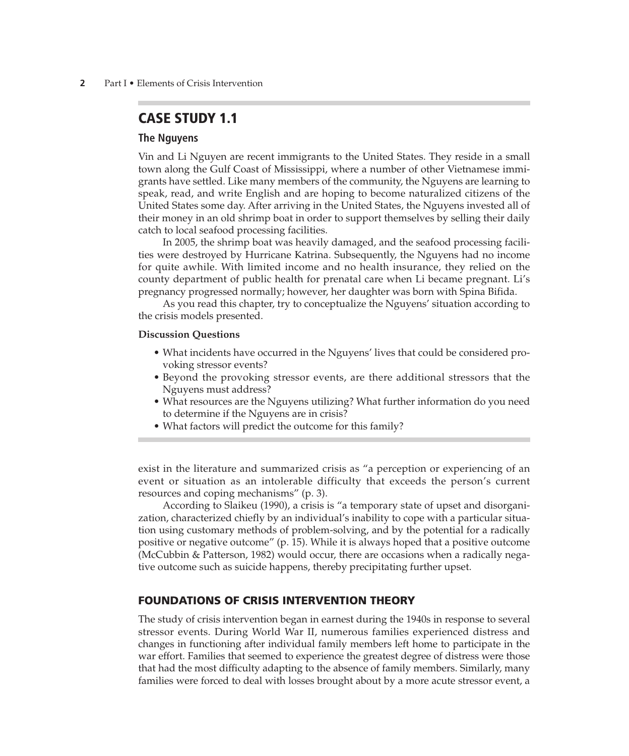# **CASE STUDY 1.1**

### **The Nguyens**

Vin and Li Nguyen are recent immigrants to the United States. They reside in a small town along the Gulf Coast of Mississippi, where a number of other Vietnamese immigrants have settled. Like many members of the community, the Nguyens are learning to speak, read, and write English and are hoping to become naturalized citizens of the United States some day. After arriving in the United States, the Nguyens invested all of their money in an old shrimp boat in order to support themselves by selling their daily catch to local seafood processing facilities.

In 2005, the shrimp boat was heavily damaged, and the seafood processing facilities were destroyed by Hurricane Katrina. Subsequently, the Nguyens had no income for quite awhile. With limited income and no health insurance, they relied on the county department of public health for prenatal care when Li became pregnant. Li's pregnancy progressed normally; however, her daughter was born with Spina Bifida.

As you read this chapter, try to conceptualize the Nguyens' situation according to the crisis models presented.

### **Discussion Questions**

- What incidents have occurred in the Nguyens' lives that could be considered provoking stressor events?
- Beyond the provoking stressor events, are there additional stressors that the Nguyens must address?
- What resources are the Nguyens utilizing? What further information do you need to determine if the Nguyens are in crisis?
- What factors will predict the outcome for this family?

exist in the literature and summarized crisis as "a perception or experiencing of an event or situation as an intolerable difficulty that exceeds the person's current resources and coping mechanisms" (p. 3).

According to Slaikeu (1990), a crisis is "a temporary state of upset and disorganization, characterized chiefly by an individual's inability to cope with a particular situation using customary methods of problem-solving, and by the potential for a radically positive or negative outcome" (p. 15). While it is always hoped that a positive outcome (McCubbin & Patterson, 1982) would occur, there are occasions when a radically negative outcome such as suicide happens, thereby precipitating further upset.

# FOUNDATIONS OF CRISIS INTERVENTION THEORY

The study of crisis intervention began in earnest during the 1940s in response to several stressor events. During World War II, numerous families experienced distress and changes in functioning after individual family members left home to participate in the war effort. Families that seemed to experience the greatest degree of distress were those that had the most difficulty adapting to the absence of family members. Similarly, many families were forced to deal with losses brought about by a more acute stressor event, a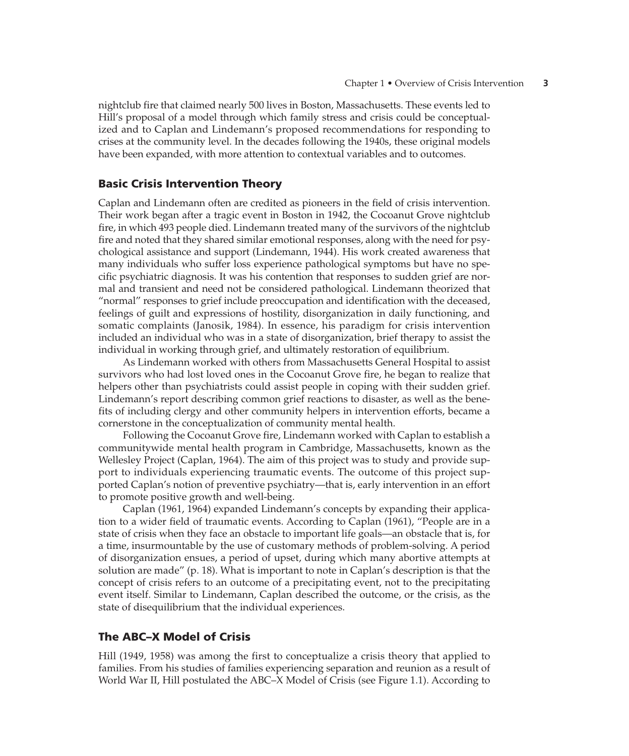nightclub fire that claimed nearly 500 lives in Boston, Massachusetts. These events led to Hill's proposal of a model through which family stress and crisis could be conceptualized and to Caplan and Lindemann's proposed recommendations for responding to crises at the community level. In the decades following the 1940s, these original models have been expanded, with more attention to contextual variables and to outcomes.

# Basic Crisis Intervention Theory

Caplan and Lindemann often are credited as pioneers in the field of crisis intervention. Their work began after a tragic event in Boston in 1942, the Cocoanut Grove nightclub fire, in which 493 people died. Lindemann treated many of the survivors of the nightclub fire and noted that they shared similar emotional responses, along with the need for psychological assistance and support (Lindemann, 1944). His work created awareness that many individuals who suffer loss experience pathological symptoms but have no specific psychiatric diagnosis. It was his contention that responses to sudden grief are normal and transient and need not be considered pathological. Lindemann theorized that "normal" responses to grief include preoccupation and identification with the deceased, feelings of guilt and expressions of hostility, disorganization in daily functioning, and somatic complaints (Janosik, 1984). In essence, his paradigm for crisis intervention included an individual who was in a state of disorganization, brief therapy to assist the individual in working through grief, and ultimately restoration of equilibrium.

As Lindemann worked with others from Massachusetts General Hospital to assist survivors who had lost loved ones in the Cocoanut Grove fire, he began to realize that helpers other than psychiatrists could assist people in coping with their sudden grief. Lindemann's report describing common grief reactions to disaster, as well as the benefits of including clergy and other community helpers in intervention efforts, became a cornerstone in the conceptualization of community mental health.

Following the Cocoanut Grove fire, Lindemann worked with Caplan to establish a communitywide mental health program in Cambridge, Massachusetts, known as the Wellesley Project (Caplan, 1964). The aim of this project was to study and provide support to individuals experiencing traumatic events. The outcome of this project supported Caplan's notion of preventive psychiatry—that is, early intervention in an effort to promote positive growth and well-being.

Caplan (1961, 1964) expanded Lindemann's concepts by expanding their application to a wider field of traumatic events. According to Caplan (1961), "People are in a state of crisis when they face an obstacle to important life goals—an obstacle that is, for a time, insurmountable by the use of customary methods of problem-solving. A period of disorganization ensues, a period of upset, during which many abortive attempts at solution are made" (p. 18). What is important to note in Caplan's description is that the concept of crisis refers to an outcome of a precipitating event, not to the precipitating event itself. Similar to Lindemann, Caplan described the outcome, or the crisis, as the state of disequilibrium that the individual experiences.

### The ABC–X Model of Crisis

Hill (1949, 1958) was among the first to conceptualize a crisis theory that applied to families. From his studies of families experiencing separation and reunion as a result of World War II, Hill postulated the ABC–X Model of Crisis (see Figure 1.1). According to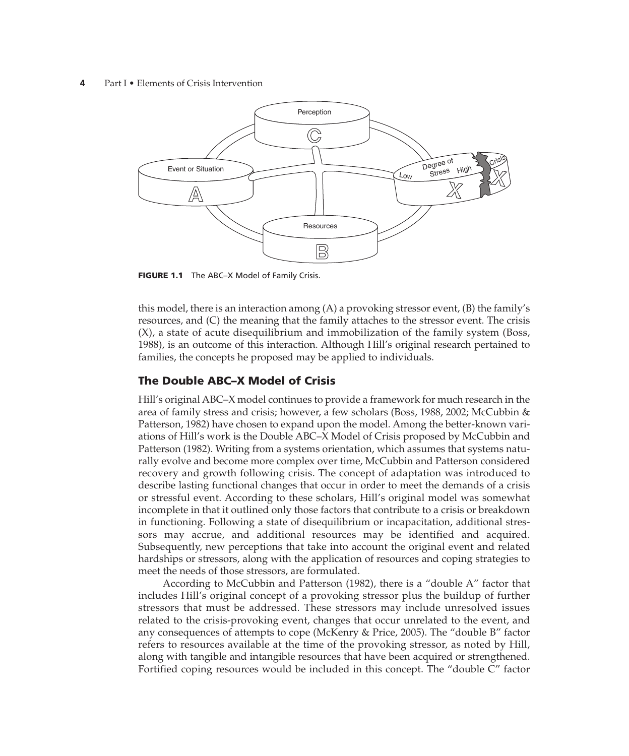

FIGURE 1.1 The ABC-X Model of Family Crisis.

this model, there is an interaction among (A) a provoking stressor event, (B) the family's resources, and (C) the meaning that the family attaches to the stressor event. The crisis (X), a state of acute disequilibrium and immobilization of the family system (Boss, 1988), is an outcome of this interaction. Although Hill's original research pertained to families, the concepts he proposed may be applied to individuals.

# The Double ABC–X Model of Crisis

Hill's original ABC–X model continues to provide a framework for much research in the area of family stress and crisis; however, a few scholars (Boss, 1988, 2002; McCubbin & Patterson, 1982) have chosen to expand upon the model. Among the better-known variations of Hill's work is the Double ABC–X Model of Crisis proposed by McCubbin and Patterson (1982). Writing from a systems orientation, which assumes that systems naturally evolve and become more complex over time, McCubbin and Patterson considered recovery and growth following crisis. The concept of adaptation was introduced to describe lasting functional changes that occur in order to meet the demands of a crisis or stressful event. According to these scholars, Hill's original model was somewhat incomplete in that it outlined only those factors that contribute to a crisis or breakdown in functioning. Following a state of disequilibrium or incapacitation, additional stressors may accrue, and additional resources may be identified and acquired. Subsequently, new perceptions that take into account the original event and related hardships or stressors, along with the application of resources and coping strategies to meet the needs of those stressors, are formulated.

According to McCubbin and Patterson (1982), there is a "double A" factor that includes Hill's original concept of a provoking stressor plus the buildup of further stressors that must be addressed. These stressors may include unresolved issues related to the crisis-provoking event, changes that occur unrelated to the event, and any consequences of attempts to cope (McKenry & Price, 2005). The "double B" factor refers to resources available at the time of the provoking stressor, as noted by Hill, along with tangible and intangible resources that have been acquired or strengthened. Fortified coping resources would be included in this concept. The "double C" factor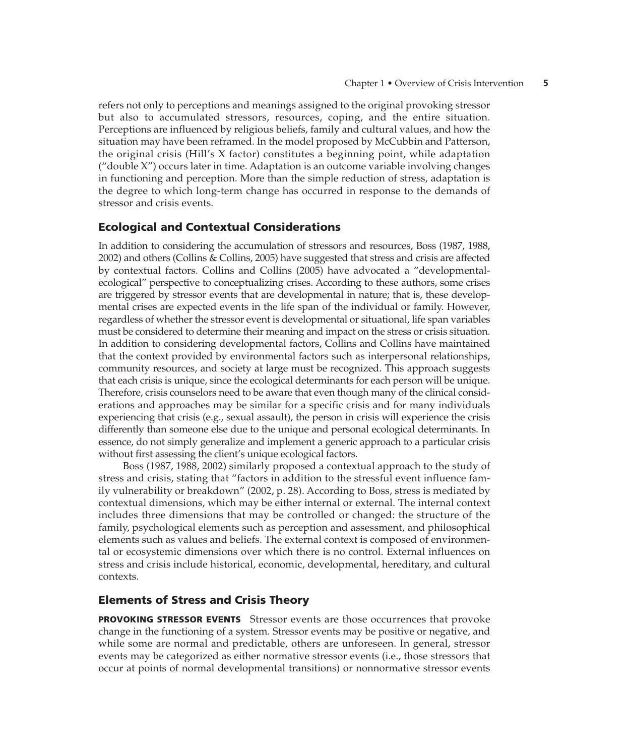refers not only to perceptions and meanings assigned to the original provoking stressor but also to accumulated stressors, resources, coping, and the entire situation. Perceptions are influenced by religious beliefs, family and cultural values, and how the situation may have been reframed. In the model proposed by McCubbin and Patterson, the original crisis (Hill's X factor) constitutes a beginning point, while adaptation ("double X") occurs later in time. Adaptation is an outcome variable involving changes in functioning and perception. More than the simple reduction of stress, adaptation is the degree to which long-term change has occurred in response to the demands of stressor and crisis events.

# Ecological and Contextual Considerations

In addition to considering the accumulation of stressors and resources, Boss (1987, 1988, 2002) and others (Collins & Collins, 2005) have suggested that stress and crisis are affected by contextual factors. Collins and Collins (2005) have advocated a "developmentalecological" perspective to conceptualizing crises. According to these authors, some crises are triggered by stressor events that are developmental in nature; that is, these developmental crises are expected events in the life span of the individual or family. However, regardless of whether the stressor event is developmental or situational, life span variables must be considered to determine their meaning and impact on the stress or crisis situation. In addition to considering developmental factors, Collins and Collins have maintained that the context provided by environmental factors such as interpersonal relationships, community resources, and society at large must be recognized. This approach suggests that each crisis is unique, since the ecological determinants for each person will be unique. Therefore, crisis counselors need to be aware that even though many of the clinical considerations and approaches may be similar for a specific crisis and for many individuals experiencing that crisis (e.g., sexual assault), the person in crisis will experience the crisis differently than someone else due to the unique and personal ecological determinants. In essence, do not simply generalize and implement a generic approach to a particular crisis without first assessing the client's unique ecological factors.

Boss (1987, 1988, 2002) similarly proposed a contextual approach to the study of stress and crisis, stating that "factors in addition to the stressful event influence family vulnerability or breakdown" (2002, p. 28). According to Boss, stress is mediated by contextual dimensions, which may be either internal or external. The internal context includes three dimensions that may be controlled or changed: the structure of the family, psychological elements such as perception and assessment, and philosophical elements such as values and beliefs. The external context is composed of environmental or ecosystemic dimensions over which there is no control. External influences on stress and crisis include historical, economic, developmental, hereditary, and cultural contexts.

# Elements of Stress and Crisis Theory

**PROVOKING STRESSOR EVENTS** Stressor events are those occurrences that provoke change in the functioning of a system. Stressor events may be positive or negative, and while some are normal and predictable, others are unforeseen. In general, stressor events may be categorized as either normative stressor events (i.e., those stressors that occur at points of normal developmental transitions) or nonnormative stressor events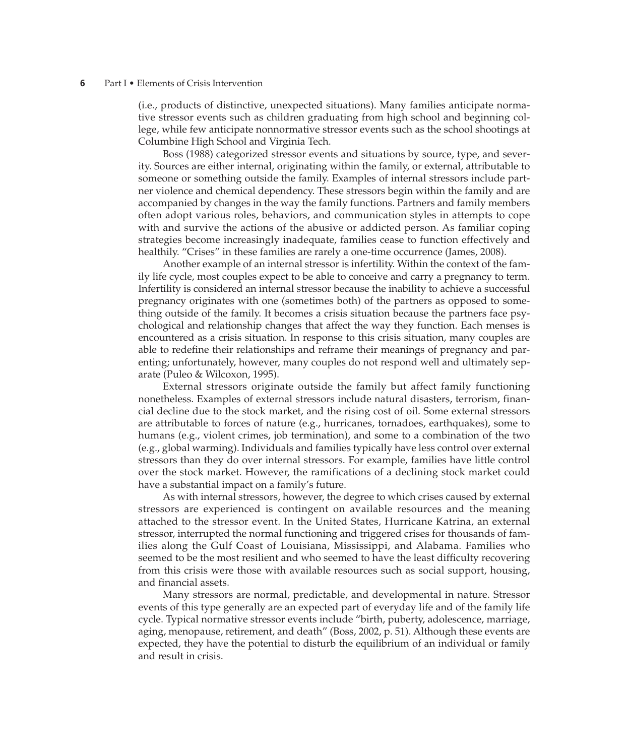(i.e., products of distinctive, unexpected situations). Many families anticipate normative stressor events such as children graduating from high school and beginning college, while few anticipate nonnormative stressor events such as the school shootings at Columbine High School and Virginia Tech.

Boss (1988) categorized stressor events and situations by source, type, and severity. Sources are either internal, originating within the family, or external, attributable to someone or something outside the family. Examples of internal stressors include partner violence and chemical dependency. These stressors begin within the family and are accompanied by changes in the way the family functions. Partners and family members often adopt various roles, behaviors, and communication styles in attempts to cope with and survive the actions of the abusive or addicted person. As familiar coping strategies become increasingly inadequate, families cease to function effectively and healthily. "Crises" in these families are rarely a one-time occurrence (James, 2008).

Another example of an internal stressor is infertility. Within the context of the family life cycle, most couples expect to be able to conceive and carry a pregnancy to term. Infertility is considered an internal stressor because the inability to achieve a successful pregnancy originates with one (sometimes both) of the partners as opposed to something outside of the family. It becomes a crisis situation because the partners face psychological and relationship changes that affect the way they function. Each menses is encountered as a crisis situation. In response to this crisis situation, many couples are able to redefine their relationships and reframe their meanings of pregnancy and parenting; unfortunately, however, many couples do not respond well and ultimately separate (Puleo & Wilcoxon, 1995).

External stressors originate outside the family but affect family functioning nonetheless. Examples of external stressors include natural disasters, terrorism, financial decline due to the stock market, and the rising cost of oil. Some external stressors are attributable to forces of nature (e.g., hurricanes, tornadoes, earthquakes), some to humans (e.g., violent crimes, job termination), and some to a combination of the two (e.g., global warming). Individuals and families typically have less control over external stressors than they do over internal stressors. For example, families have little control over the stock market. However, the ramifications of a declining stock market could have a substantial impact on a family's future.

As with internal stressors, however, the degree to which crises caused by external stressors are experienced is contingent on available resources and the meaning attached to the stressor event. In the United States, Hurricane Katrina, an external stressor, interrupted the normal functioning and triggered crises for thousands of families along the Gulf Coast of Louisiana, Mississippi, and Alabama. Families who seemed to be the most resilient and who seemed to have the least difficulty recovering from this crisis were those with available resources such as social support, housing, and financial assets.

Many stressors are normal, predictable, and developmental in nature. Stressor events of this type generally are an expected part of everyday life and of the family life cycle. Typical normative stressor events include "birth, puberty, adolescence, marriage, aging, menopause, retirement, and death" (Boss, 2002, p. 51). Although these events are expected, they have the potential to disturb the equilibrium of an individual or family and result in crisis.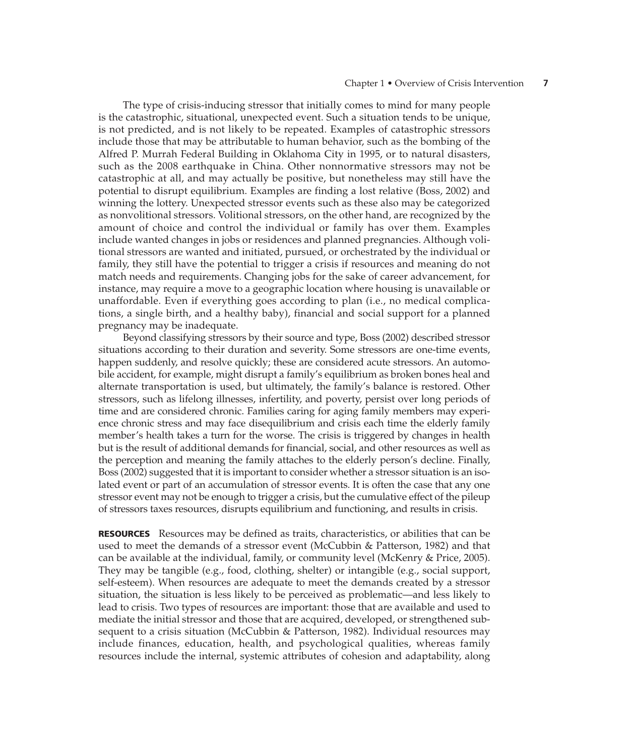### Chapter 1 • Overview of Crisis Intervention **7**

The type of crisis-inducing stressor that initially comes to mind for many people is the catastrophic, situational, unexpected event. Such a situation tends to be unique, is not predicted, and is not likely to be repeated. Examples of catastrophic stressors include those that may be attributable to human behavior, such as the bombing of the Alfred P. Murrah Federal Building in Oklahoma City in 1995, or to natural disasters, such as the 2008 earthquake in China. Other nonnormative stressors may not be catastrophic at all, and may actually be positive, but nonetheless may still have the potential to disrupt equilibrium. Examples are finding a lost relative (Boss, 2002) and winning the lottery. Unexpected stressor events such as these also may be categorized as nonvolitional stressors. Volitional stressors, on the other hand, are recognized by the amount of choice and control the individual or family has over them. Examples include wanted changes in jobs or residences and planned pregnancies. Although volitional stressors are wanted and initiated, pursued, or orchestrated by the individual or family, they still have the potential to trigger a crisis if resources and meaning do not match needs and requirements. Changing jobs for the sake of career advancement, for instance, may require a move to a geographic location where housing is unavailable or unaffordable. Even if everything goes according to plan (i.e., no medical complications, a single birth, and a healthy baby), financial and social support for a planned pregnancy may be inadequate.

Beyond classifying stressors by their source and type, Boss (2002) described stressor situations according to their duration and severity. Some stressors are one-time events, happen suddenly, and resolve quickly; these are considered acute stressors. An automobile accident, for example, might disrupt a family's equilibrium as broken bones heal and alternate transportation is used, but ultimately, the family's balance is restored. Other stressors, such as lifelong illnesses, infertility, and poverty, persist over long periods of time and are considered chronic. Families caring for aging family members may experience chronic stress and may face disequilibrium and crisis each time the elderly family member's health takes a turn for the worse. The crisis is triggered by changes in health but is the result of additional demands for financial, social, and other resources as well as the perception and meaning the family attaches to the elderly person's decline. Finally, Boss (2002) suggested that it is important to consider whether a stressor situation is an isolated event or part of an accumulation of stressor events. It is often the case that any one stressor event may not be enough to trigger a crisis, but the cumulative effect of the pileup of stressors taxes resources, disrupts equilibrium and functioning, and results in crisis.

**RESOURCES** Resources may be defined as traits, characteristics, or abilities that can be used to meet the demands of a stressor event (McCubbin & Patterson, 1982) and that can be available at the individual, family, or community level (McKenry & Price, 2005). They may be tangible (e.g., food, clothing, shelter) or intangible (e.g., social support, self-esteem). When resources are adequate to meet the demands created by a stressor situation, the situation is less likely to be perceived as problematic—and less likely to lead to crisis. Two types of resources are important: those that are available and used to mediate the initial stressor and those that are acquired, developed, or strengthened subsequent to a crisis situation (McCubbin & Patterson, 1982). Individual resources may include finances, education, health, and psychological qualities, whereas family resources include the internal, systemic attributes of cohesion and adaptability, along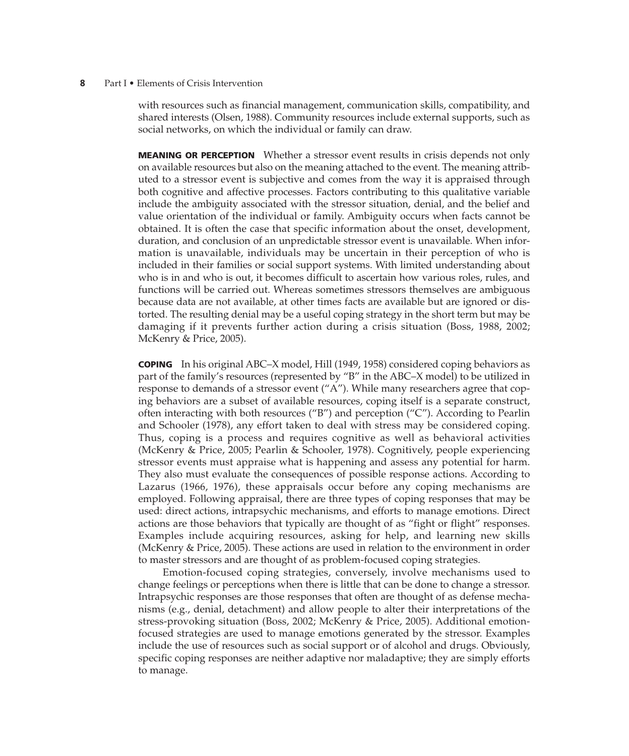with resources such as financial management, communication skills, compatibility, and shared interests (Olsen, 1988). Community resources include external supports, such as social networks, on which the individual or family can draw.

**MEANING OR PERCEPTION** Whether a stressor event results in crisis depends not only on available resources but also on the meaning attached to the event. The meaning attributed to a stressor event is subjective and comes from the way it is appraised through both cognitive and affective processes. Factors contributing to this qualitative variable include the ambiguity associated with the stressor situation, denial, and the belief and value orientation of the individual or family. Ambiguity occurs when facts cannot be obtained. It is often the case that specific information about the onset, development, duration, and conclusion of an unpredictable stressor event is unavailable. When information is unavailable, individuals may be uncertain in their perception of who is included in their families or social support systems. With limited understanding about who is in and who is out, it becomes difficult to ascertain how various roles, rules, and functions will be carried out. Whereas sometimes stressors themselves are ambiguous because data are not available, at other times facts are available but are ignored or distorted. The resulting denial may be a useful coping strategy in the short term but may be damaging if it prevents further action during a crisis situation (Boss, 1988, 2002; McKenry & Price, 2005).

COPING In his original ABC–X model, Hill (1949, 1958) considered coping behaviors as part of the family's resources (represented by "B" in the ABC–X model) to be utilized in response to demands of a stressor event ("A"). While many researchers agree that coping behaviors are a subset of available resources, coping itself is a separate construct, often interacting with both resources ("B") and perception ("C"). According to Pearlin and Schooler (1978), any effort taken to deal with stress may be considered coping. Thus, coping is a process and requires cognitive as well as behavioral activities (McKenry & Price, 2005; Pearlin & Schooler, 1978). Cognitively, people experiencing stressor events must appraise what is happening and assess any potential for harm. They also must evaluate the consequences of possible response actions. According to Lazarus (1966, 1976), these appraisals occur before any coping mechanisms are employed. Following appraisal, there are three types of coping responses that may be used: direct actions, intrapsychic mechanisms, and efforts to manage emotions. Direct actions are those behaviors that typically are thought of as "fight or flight" responses. Examples include acquiring resources, asking for help, and learning new skills (McKenry & Price, 2005). These actions are used in relation to the environment in order to master stressors and are thought of as problem-focused coping strategies.

Emotion-focused coping strategies, conversely, involve mechanisms used to change feelings or perceptions when there is little that can be done to change a stressor. Intrapsychic responses are those responses that often are thought of as defense mechanisms (e.g., denial, detachment) and allow people to alter their interpretations of the stress-provoking situation (Boss, 2002; McKenry & Price, 2005). Additional emotionfocused strategies are used to manage emotions generated by the stressor. Examples include the use of resources such as social support or of alcohol and drugs. Obviously, specific coping responses are neither adaptive nor maladaptive; they are simply efforts to manage.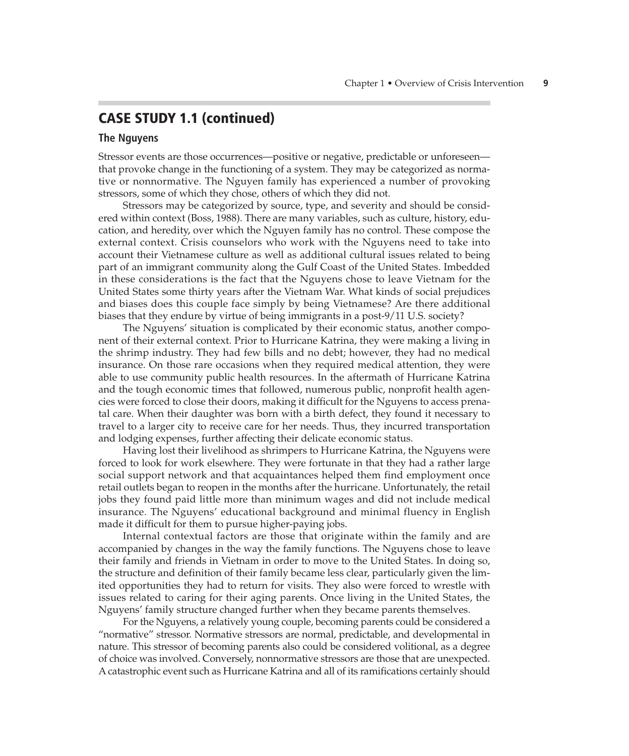# **CASE STUDY 1.1 (continued)**

### **The Nguyens**

Stressor events are those occurrences—positive or negative, predictable or unforeseen that provoke change in the functioning of a system. They may be categorized as normative or nonnormative. The Nguyen family has experienced a number of provoking stressors, some of which they chose, others of which they did not.

Stressors may be categorized by source, type, and severity and should be considered within context (Boss, 1988). There are many variables, such as culture, history, education, and heredity, over which the Nguyen family has no control. These compose the external context. Crisis counselors who work with the Nguyens need to take into account their Vietnamese culture as well as additional cultural issues related to being part of an immigrant community along the Gulf Coast of the United States. Imbedded in these considerations is the fact that the Nguyens chose to leave Vietnam for the United States some thirty years after the Vietnam War. What kinds of social prejudices and biases does this couple face simply by being Vietnamese? Are there additional biases that they endure by virtue of being immigrants in a post-9/11 U.S. society?

The Nguyens' situation is complicated by their economic status, another component of their external context. Prior to Hurricane Katrina, they were making a living in the shrimp industry. They had few bills and no debt; however, they had no medical insurance. On those rare occasions when they required medical attention, they were able to use community public health resources. In the aftermath of Hurricane Katrina and the tough economic times that followed, numerous public, nonprofit health agencies were forced to close their doors, making it difficult for the Nguyens to access prenatal care. When their daughter was born with a birth defect, they found it necessary to travel to a larger city to receive care for her needs. Thus, they incurred transportation and lodging expenses, further affecting their delicate economic status.

Having lost their livelihood as shrimpers to Hurricane Katrina, the Nguyens were forced to look for work elsewhere. They were fortunate in that they had a rather large social support network and that acquaintances helped them find employment once retail outlets began to reopen in the months after the hurricane. Unfortunately, the retail jobs they found paid little more than minimum wages and did not include medical insurance. The Nguyens' educational background and minimal fluency in English made it difficult for them to pursue higher-paying jobs.

Internal contextual factors are those that originate within the family and are accompanied by changes in the way the family functions. The Nguyens chose to leave their family and friends in Vietnam in order to move to the United States. In doing so, the structure and definition of their family became less clear, particularly given the limited opportunities they had to return for visits. They also were forced to wrestle with issues related to caring for their aging parents. Once living in the United States, the Nguyens' family structure changed further when they became parents themselves.

For the Nguyens, a relatively young couple, becoming parents could be considered a "normative" stressor. Normative stressors are normal, predictable, and developmental in nature. This stressor of becoming parents also could be considered volitional, as a degree of choice was involved. Conversely, nonnormative stressors are those that are unexpected. A catastrophic event such as Hurricane Katrina and all of its ramifications certainly should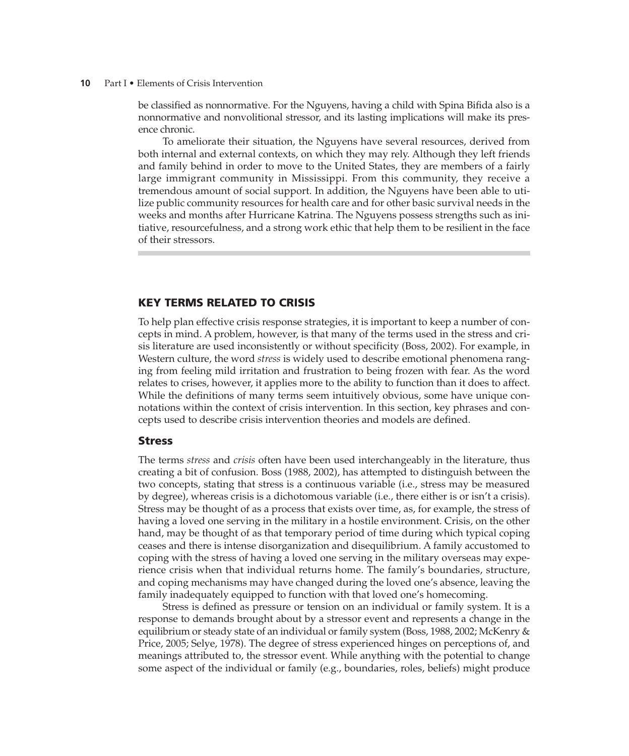be classified as nonnormative. For the Nguyens, having a child with Spina Bifida also is a nonnormative and nonvolitional stressor, and its lasting implications will make its presence chronic.

To ameliorate their situation, the Nguyens have several resources, derived from both internal and external contexts, on which they may rely. Although they left friends and family behind in order to move to the United States, they are members of a fairly large immigrant community in Mississippi. From this community, they receive a tremendous amount of social support. In addition, the Nguyens have been able to utilize public community resources for health care and for other basic survival needs in the weeks and months after Hurricane Katrina. The Nguyens possess strengths such as initiative, resourcefulness, and a strong work ethic that help them to be resilient in the face of their stressors.

### KEY TERMS RELATED TO CRISIS

To help plan effective crisis response strategies, it is important to keep a number of concepts in mind. A problem, however, is that many of the terms used in the stress and crisis literature are used inconsistently or without specificity (Boss, 2002). For example, in Western culture, the word *stress* is widely used to describe emotional phenomena ranging from feeling mild irritation and frustration to being frozen with fear. As the word relates to crises, however, it applies more to the ability to function than it does to affect. While the definitions of many terms seem intuitively obvious, some have unique connotations within the context of crisis intervention. In this section, key phrases and concepts used to describe crisis intervention theories and models are defined.

### Stress

The terms *stress* and *crisis* often have been used interchangeably in the literature, thus creating a bit of confusion. Boss (1988, 2002), has attempted to distinguish between the two concepts, stating that stress is a continuous variable (i.e., stress may be measured by degree), whereas crisis is a dichotomous variable (i.e., there either is or isn't a crisis). Stress may be thought of as a process that exists over time, as, for example, the stress of having a loved one serving in the military in a hostile environment. Crisis, on the other hand, may be thought of as that temporary period of time during which typical coping ceases and there is intense disorganization and disequilibrium. A family accustomed to coping with the stress of having a loved one serving in the military overseas may experience crisis when that individual returns home. The family's boundaries, structure, and coping mechanisms may have changed during the loved one's absence, leaving the family inadequately equipped to function with that loved one's homecoming.

Stress is defined as pressure or tension on an individual or family system. It is a response to demands brought about by a stressor event and represents a change in the equilibrium or steady state of an individual or family system (Boss, 1988, 2002; McKenry & Price, 2005; Selye, 1978). The degree of stress experienced hinges on perceptions of, and meanings attributed to, the stressor event. While anything with the potential to change some aspect of the individual or family (e.g., boundaries, roles, beliefs) might produce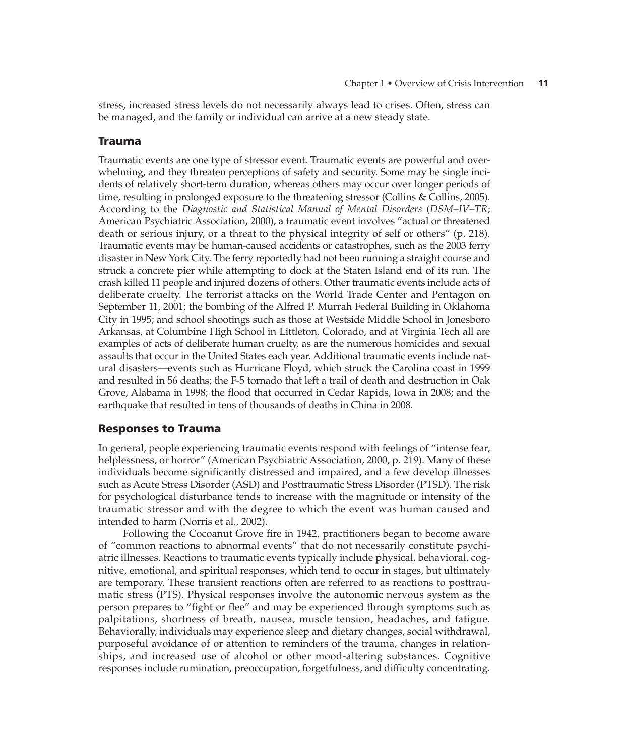stress, increased stress levels do not necessarily always lead to crises. Often, stress can be managed, and the family or individual can arrive at a new steady state.

### Trauma

Traumatic events are one type of stressor event. Traumatic events are powerful and overwhelming, and they threaten perceptions of safety and security. Some may be single incidents of relatively short-term duration, whereas others may occur over longer periods of time, resulting in prolonged exposure to the threatening stressor (Collins & Collins, 2005). According to the *Diagnostic and Statistical Manual of Mental Disorders* (*DSM–IV–TR*; American Psychiatric Association, 2000), a traumatic event involves "actual or threatened death or serious injury, or a threat to the physical integrity of self or others" (p. 218). Traumatic events may be human-caused accidents or catastrophes, such as the 2003 ferry disaster in New York City. The ferry reportedly had not been running a straight course and struck a concrete pier while attempting to dock at the Staten Island end of its run. The crash killed 11 people and injured dozens of others. Other traumatic events include acts of deliberate cruelty. The terrorist attacks on the World Trade Center and Pentagon on September 11, 2001; the bombing of the Alfred P. Murrah Federal Building in Oklahoma City in 1995; and school shootings such as those at Westside Middle School in Jonesboro Arkansas, at Columbine High School in Littleton, Colorado, and at Virginia Tech all are examples of acts of deliberate human cruelty, as are the numerous homicides and sexual assaults that occur in the United States each year. Additional traumatic events include natural disasters—events such as Hurricane Floyd, which struck the Carolina coast in 1999 and resulted in 56 deaths; the F-5 tornado that left a trail of death and destruction in Oak Grove, Alabama in 1998; the flood that occurred in Cedar Rapids, Iowa in 2008; and the earthquake that resulted in tens of thousands of deaths in China in 2008.

### Responses to Trauma

In general, people experiencing traumatic events respond with feelings of "intense fear, helplessness, or horror" (American Psychiatric Association, 2000, p. 219). Many of these individuals become significantly distressed and impaired, and a few develop illnesses such as Acute Stress Disorder (ASD) and Posttraumatic Stress Disorder (PTSD). The risk for psychological disturbance tends to increase with the magnitude or intensity of the traumatic stressor and with the degree to which the event was human caused and intended to harm (Norris et al., 2002).

Following the Cocoanut Grove fire in 1942, practitioners began to become aware of "common reactions to abnormal events" that do not necessarily constitute psychiatric illnesses. Reactions to traumatic events typically include physical, behavioral, cognitive, emotional, and spiritual responses, which tend to occur in stages, but ultimately are temporary. These transient reactions often are referred to as reactions to posttraumatic stress (PTS). Physical responses involve the autonomic nervous system as the person prepares to "fight or flee" and may be experienced through symptoms such as palpitations, shortness of breath, nausea, muscle tension, headaches, and fatigue. Behaviorally, individuals may experience sleep and dietary changes, social withdrawal, purposeful avoidance of or attention to reminders of the trauma, changes in relationships, and increased use of alcohol or other mood-altering substances. Cognitive responses include rumination, preoccupation, forgetfulness, and difficulty concentrating.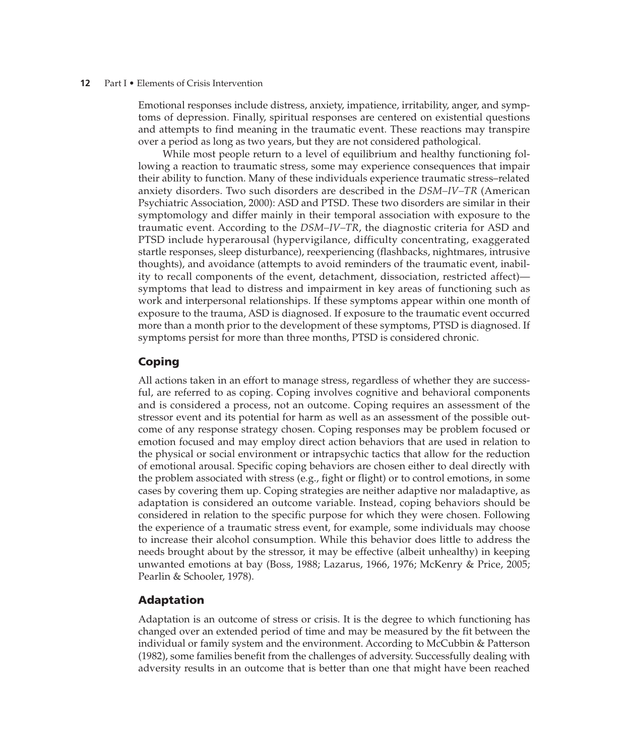Emotional responses include distress, anxiety, impatience, irritability, anger, and symptoms of depression. Finally, spiritual responses are centered on existential questions and attempts to find meaning in the traumatic event. These reactions may transpire over a period as long as two years, but they are not considered pathological.

While most people return to a level of equilibrium and healthy functioning following a reaction to traumatic stress, some may experience consequences that impair their ability to function. Many of these individuals experience traumatic stress–related anxiety disorders. Two such disorders are described in the *DSM–IV–TR* (American Psychiatric Association, 2000): ASD and PTSD. These two disorders are similar in their symptomology and differ mainly in their temporal association with exposure to the traumatic event. According to the *DSM–IV–TR*, the diagnostic criteria for ASD and PTSD include hyperarousal (hypervigilance, difficulty concentrating, exaggerated startle responses, sleep disturbance), reexperiencing (flashbacks, nightmares, intrusive thoughts), and avoidance (attempts to avoid reminders of the traumatic event, inability to recall components of the event, detachment, dissociation, restricted affect) symptoms that lead to distress and impairment in key areas of functioning such as work and interpersonal relationships. If these symptoms appear within one month of exposure to the trauma, ASD is diagnosed. If exposure to the traumatic event occurred more than a month prior to the development of these symptoms, PTSD is diagnosed. If symptoms persist for more than three months, PTSD is considered chronic.

# Coping

All actions taken in an effort to manage stress, regardless of whether they are successful, are referred to as coping. Coping involves cognitive and behavioral components and is considered a process, not an outcome. Coping requires an assessment of the stressor event and its potential for harm as well as an assessment of the possible outcome of any response strategy chosen. Coping responses may be problem focused or emotion focused and may employ direct action behaviors that are used in relation to the physical or social environment or intrapsychic tactics that allow for the reduction of emotional arousal. Specific coping behaviors are chosen either to deal directly with the problem associated with stress (e.g., fight or flight) or to control emotions, in some cases by covering them up. Coping strategies are neither adaptive nor maladaptive, as adaptation is considered an outcome variable. Instead, coping behaviors should be considered in relation to the specific purpose for which they were chosen. Following the experience of a traumatic stress event, for example, some individuals may choose to increase their alcohol consumption. While this behavior does little to address the needs brought about by the stressor, it may be effective (albeit unhealthy) in keeping unwanted emotions at bay (Boss, 1988; Lazarus, 1966, 1976; McKenry & Price, 2005; Pearlin & Schooler, 1978).

# Adaptation

Adaptation is an outcome of stress or crisis. It is the degree to which functioning has changed over an extended period of time and may be measured by the fit between the individual or family system and the environment. According to McCubbin & Patterson (1982), some families benefit from the challenges of adversity. Successfully dealing with adversity results in an outcome that is better than one that might have been reached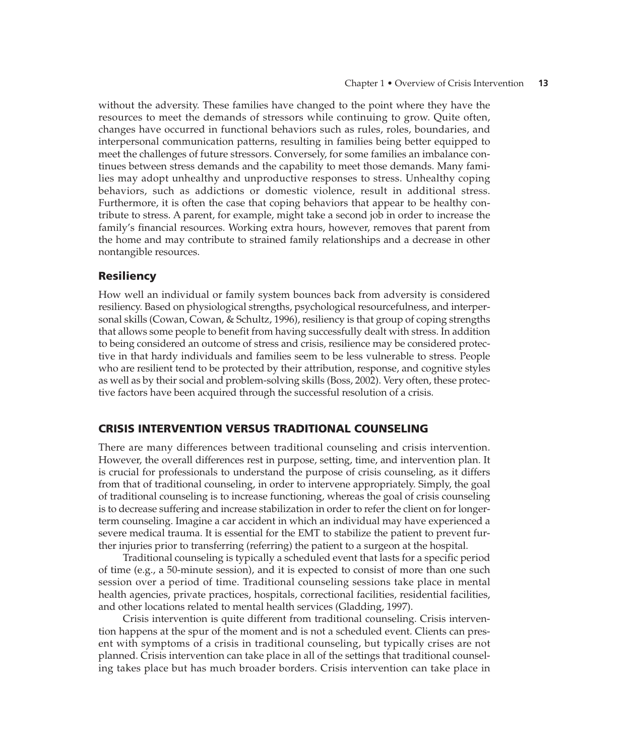#### Chapter 1 • Overview of Crisis Intervention **13**

without the adversity. These families have changed to the point where they have the resources to meet the demands of stressors while continuing to grow. Quite often, changes have occurred in functional behaviors such as rules, roles, boundaries, and interpersonal communication patterns, resulting in families being better equipped to meet the challenges of future stressors. Conversely, for some families an imbalance continues between stress demands and the capability to meet those demands. Many families may adopt unhealthy and unproductive responses to stress. Unhealthy coping behaviors, such as addictions or domestic violence, result in additional stress. Furthermore, it is often the case that coping behaviors that appear to be healthy contribute to stress. A parent, for example, might take a second job in order to increase the family's financial resources. Working extra hours, however, removes that parent from the home and may contribute to strained family relationships and a decrease in other nontangible resources.

# Resiliency

How well an individual or family system bounces back from adversity is considered resiliency. Based on physiological strengths, psychological resourcefulness, and interpersonal skills (Cowan, Cowan, & Schultz, 1996), resiliency is that group of coping strengths that allows some people to benefit from having successfully dealt with stress. In addition to being considered an outcome of stress and crisis, resilience may be considered protective in that hardy individuals and families seem to be less vulnerable to stress. People who are resilient tend to be protected by their attribution, response, and cognitive styles as well as by their social and problem-solving skills (Boss, 2002). Very often, these protective factors have been acquired through the successful resolution of a crisis.

# CRISIS INTERVENTION VERSUS TRADITIONAL COUNSELING

There are many differences between traditional counseling and crisis intervention. However, the overall differences rest in purpose, setting, time, and intervention plan. It is crucial for professionals to understand the purpose of crisis counseling, as it differs from that of traditional counseling, in order to intervene appropriately. Simply, the goal of traditional counseling is to increase functioning, whereas the goal of crisis counseling is to decrease suffering and increase stabilization in order to refer the client on for longerterm counseling. Imagine a car accident in which an individual may have experienced a severe medical trauma. It is essential for the EMT to stabilize the patient to prevent further injuries prior to transferring (referring) the patient to a surgeon at the hospital.

Traditional counseling is typically a scheduled event that lasts for a specific period of time (e.g., a 50-minute session), and it is expected to consist of more than one such session over a period of time. Traditional counseling sessions take place in mental health agencies, private practices, hospitals, correctional facilities, residential facilities, and other locations related to mental health services (Gladding, 1997).

Crisis intervention is quite different from traditional counseling. Crisis intervention happens at the spur of the moment and is not a scheduled event. Clients can present with symptoms of a crisis in traditional counseling, but typically crises are not planned. Crisis intervention can take place in all of the settings that traditional counseling takes place but has much broader borders. Crisis intervention can take place in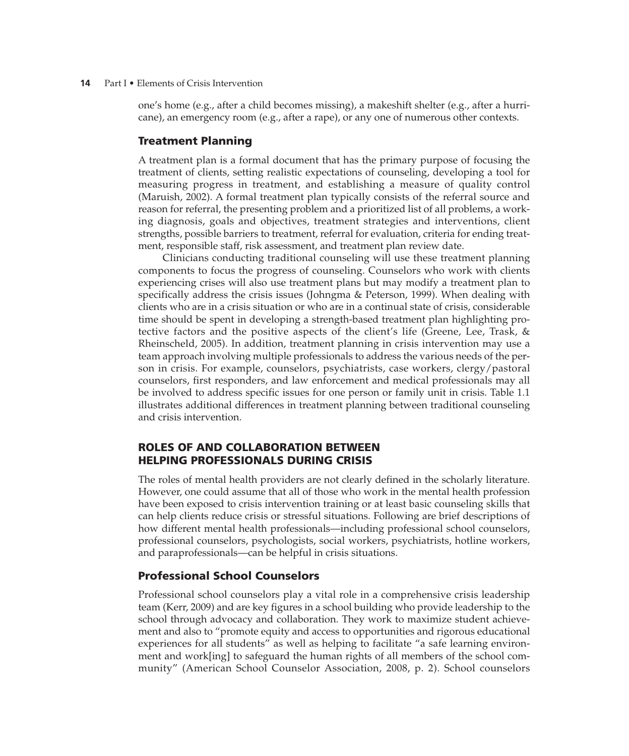one's home (e.g., after a child becomes missing), a makeshift shelter (e.g., after a hurricane), an emergency room (e.g., after a rape), or any one of numerous other contexts.

### Treatment Planning

A treatment plan is a formal document that has the primary purpose of focusing the treatment of clients, setting realistic expectations of counseling, developing a tool for measuring progress in treatment, and establishing a measure of quality control (Maruish, 2002). A formal treatment plan typically consists of the referral source and reason for referral, the presenting problem and a prioritized list of all problems, a working diagnosis, goals and objectives, treatment strategies and interventions, client strengths, possible barriers to treatment, referral for evaluation, criteria for ending treatment, responsible staff, risk assessment, and treatment plan review date.

Clinicians conducting traditional counseling will use these treatment planning components to focus the progress of counseling. Counselors who work with clients experiencing crises will also use treatment plans but may modify a treatment plan to specifically address the crisis issues (Johngma & Peterson, 1999). When dealing with clients who are in a crisis situation or who are in a continual state of crisis, considerable time should be spent in developing a strength-based treatment plan highlighting protective factors and the positive aspects of the client's life (Greene, Lee, Trask, & Rheinscheld, 2005). In addition, treatment planning in crisis intervention may use a team approach involving multiple professionals to address the various needs of the person in crisis. For example, counselors, psychiatrists, case workers, clergy/pastoral counselors, first responders, and law enforcement and medical professionals may all be involved to address specific issues for one person or family unit in crisis. Table 1.1 illustrates additional differences in treatment planning between traditional counseling and crisis intervention.

# ROLES OF AND COLLABORATION BETWEEN HELPING PROFESSIONALS DURING CRISIS

The roles of mental health providers are not clearly defined in the scholarly literature. However, one could assume that all of those who work in the mental health profession have been exposed to crisis intervention training or at least basic counseling skills that can help clients reduce crisis or stressful situations. Following are brief descriptions of how different mental health professionals—including professional school counselors, professional counselors, psychologists, social workers, psychiatrists, hotline workers, and paraprofessionals—can be helpful in crisis situations.

# Professional School Counselors

Professional school counselors play a vital role in a comprehensive crisis leadership team (Kerr, 2009) and are key figures in a school building who provide leadership to the school through advocacy and collaboration. They work to maximize student achievement and also to "promote equity and access to opportunities and rigorous educational experiences for all students" as well as helping to facilitate "a safe learning environment and work[ing] to safeguard the human rights of all members of the school community" (American School Counselor Association, 2008, p. 2). School counselors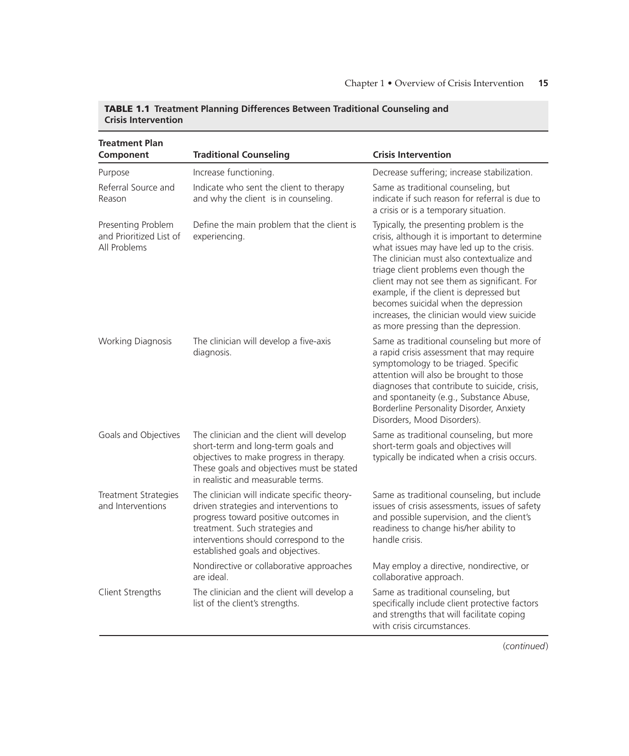| <b>Treatment Plan</b><br>Component                            | <b>Traditional Counseling</b>                                                                                                                                                                                                                   | <b>Crisis Intervention</b>                                                                                                                                                                                                                                                                                                                                                                                                                               |
|---------------------------------------------------------------|-------------------------------------------------------------------------------------------------------------------------------------------------------------------------------------------------------------------------------------------------|----------------------------------------------------------------------------------------------------------------------------------------------------------------------------------------------------------------------------------------------------------------------------------------------------------------------------------------------------------------------------------------------------------------------------------------------------------|
| Purpose                                                       | Increase functioning.                                                                                                                                                                                                                           | Decrease suffering; increase stabilization.                                                                                                                                                                                                                                                                                                                                                                                                              |
| Referral Source and<br>Reason                                 | Indicate who sent the client to therapy<br>and why the client is in counseling.                                                                                                                                                                 | Same as traditional counseling, but<br>indicate if such reason for referral is due to<br>a crisis or is a temporary situation.                                                                                                                                                                                                                                                                                                                           |
| Presenting Problem<br>and Prioritized List of<br>All Problems | Define the main problem that the client is<br>experiencing.                                                                                                                                                                                     | Typically, the presenting problem is the<br>crisis, although it is important to determine<br>what issues may have led up to the crisis.<br>The clinician must also contextualize and<br>triage client problems even though the<br>client may not see them as significant. For<br>example, if the client is depressed but<br>becomes suicidal when the depression<br>increases, the clinician would view suicide<br>as more pressing than the depression. |
| <b>Working Diagnosis</b>                                      | The clinician will develop a five-axis<br>diagnosis.                                                                                                                                                                                            | Same as traditional counseling but more of<br>a rapid crisis assessment that may require<br>symptomology to be triaged. Specific<br>attention will also be brought to those<br>diagnoses that contribute to suicide, crisis,<br>and spontaneity (e.g., Substance Abuse,<br>Borderline Personality Disorder, Anxiety<br>Disorders, Mood Disorders).                                                                                                       |
| Goals and Objectives                                          | The clinician and the client will develop<br>short-term and long-term goals and<br>objectives to make progress in therapy.<br>These goals and objectives must be stated<br>in realistic and measurable terms.                                   | Same as traditional counseling, but more<br>short-term goals and objectives will<br>typically be indicated when a crisis occurs.                                                                                                                                                                                                                                                                                                                         |
| Treatment Strategies<br>and Interventions                     | The clinician will indicate specific theory-<br>driven strategies and interventions to<br>progress toward positive outcomes in<br>treatment. Such strategies and<br>interventions should correspond to the<br>established goals and objectives. | Same as traditional counseling, but include<br>issues of crisis assessments, issues of safety<br>and possible supervision, and the client's<br>readiness to change his/her ability to<br>handle crisis.                                                                                                                                                                                                                                                  |
|                                                               | Nondirective or collaborative approaches<br>are ideal.                                                                                                                                                                                          | May employ a directive, nondirective, or<br>collaborative approach.                                                                                                                                                                                                                                                                                                                                                                                      |
| Client Strengths                                              | The clinician and the client will develop a<br>list of the client's strengths.                                                                                                                                                                  | Same as traditional counseling, but<br>specifically include client protective factors<br>and strengths that will facilitate coping<br>with crisis circumstances.                                                                                                                                                                                                                                                                                         |

|                            | TABLE 1.1 Treatment Planning Differences Between Traditional Counseling and |  |  |  |  |  |
|----------------------------|-----------------------------------------------------------------------------|--|--|--|--|--|
| <b>Crisis Intervention</b> |                                                                             |  |  |  |  |  |

(*continued*)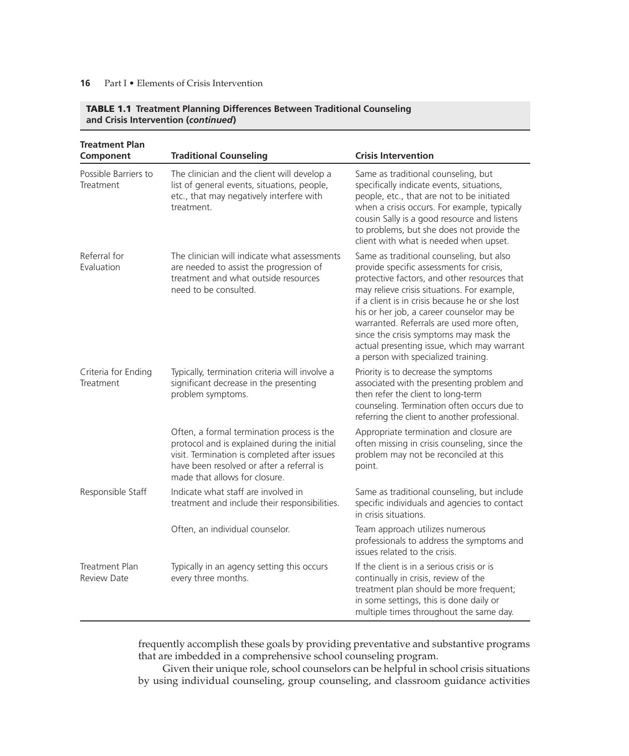| <b>Treatment Plan</b><br>Component   | <b>Traditional Counseling</b>                                                                                                                                                                                            | <b>Crisis Intervention</b>                                                                                                                                                                                                                                                                                                                                                                                                                                      |
|--------------------------------------|--------------------------------------------------------------------------------------------------------------------------------------------------------------------------------------------------------------------------|-----------------------------------------------------------------------------------------------------------------------------------------------------------------------------------------------------------------------------------------------------------------------------------------------------------------------------------------------------------------------------------------------------------------------------------------------------------------|
| Possible Barriers to<br>Treatment    | The clinician and the client will develop a<br>list of general events, situations, people,<br>etc., that may negatively interfere with<br>treatment.                                                                     | Same as traditional counseling, but<br>specifically indicate events, situations,<br>people, etc., that are not to be initiated<br>when a crisis occurs. For example, typically<br>cousin Sally is a good resource and listens<br>to problems, but she does not provide the<br>client with what is needed when upset.                                                                                                                                            |
| Referral for<br>Evaluation           | The clinician will indicate what assessments<br>are needed to assist the progression of<br>treatment and what outside resources<br>need to be consulted.                                                                 | Same as traditional counseling, but also<br>provide specific assessments for crisis,<br>protective factors, and other resources that<br>may relieve crisis situations. For example,<br>if a client is in crisis because he or she lost<br>his or her job, a career counselor may be<br>warranted. Referrals are used more often,<br>since the crisis symptoms may mask the<br>actual presenting issue, which may warrant<br>a person with specialized training. |
| Criteria for Ending<br>Treatment     | Typically, termination criteria will involve a<br>significant decrease in the presenting<br>problem symptoms.                                                                                                            | Priority is to decrease the symptoms<br>associated with the presenting problem and<br>then refer the client to long-term<br>counseling. Termination often occurs due to<br>referring the client to another professional.                                                                                                                                                                                                                                        |
|                                      | Often, a formal termination process is the<br>protocol and is explained during the initial<br>visit. Termination is completed after issues<br>have been resolved or after a referral is<br>made that allows for closure. | Appropriate termination and closure are<br>often missing in crisis counseling, since the<br>problem may not be reconciled at this<br>point.                                                                                                                                                                                                                                                                                                                     |
| Responsible Staff                    | Indicate what staff are involved in<br>treatment and include their responsibilities.                                                                                                                                     | Same as traditional counseling, but include<br>specific individuals and agencies to contact<br>in crisis situations.                                                                                                                                                                                                                                                                                                                                            |
|                                      | Often, an individual counselor.                                                                                                                                                                                          | Team approach utilizes numerous<br>professionals to address the symptoms and<br>issues related to the crisis.                                                                                                                                                                                                                                                                                                                                                   |
| Treatment Plan<br><b>Review Date</b> | Typically in an agency setting this occurs<br>every three months.                                                                                                                                                        | If the client is in a serious crisis or is<br>continually in crisis, review of the<br>treatment plan should be more frequent;<br>in some settings, this is done daily or<br>multiple times throughout the same day.                                                                                                                                                                                                                                             |

### TABLE 1.1 **Treatment Planning Differences Between Traditional Counseling and Crisis Intervention (***continued***)**

frequently accomplish these goals by providing preventative and substantive programs that are imbedded in a comprehensive school counseling program.

Given their unique role, school counselors can be helpful in school crisis situations by using individual counseling, group counseling, and classroom guidance activities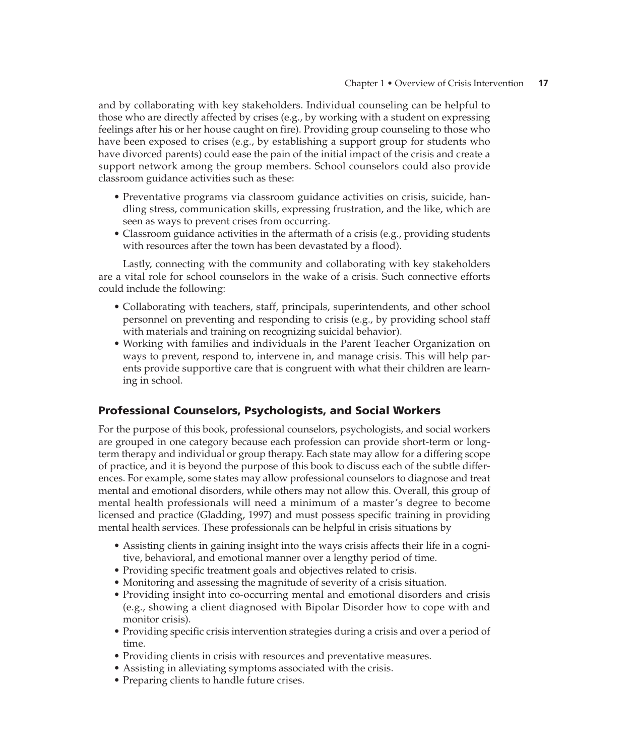### Chapter 1 • Overview of Crisis Intervention **17**

and by collaborating with key stakeholders. Individual counseling can be helpful to those who are directly affected by crises (e.g., by working with a student on expressing feelings after his or her house caught on fire). Providing group counseling to those who have been exposed to crises (e.g., by establishing a support group for students who have divorced parents) could ease the pain of the initial impact of the crisis and create a support network among the group members. School counselors could also provide classroom guidance activities such as these:

- Preventative programs via classroom guidance activities on crisis, suicide, handling stress, communication skills, expressing frustration, and the like, which are seen as ways to prevent crises from occurring.
- Classroom guidance activities in the aftermath of a crisis (e.g., providing students with resources after the town has been devastated by a flood).

Lastly, connecting with the community and collaborating with key stakeholders are a vital role for school counselors in the wake of a crisis. Such connective efforts could include the following:

- Collaborating with teachers, staff, principals, superintendents, and other school personnel on preventing and responding to crisis (e.g., by providing school staff with materials and training on recognizing suicidal behavior).
- Working with families and individuals in the Parent Teacher Organization on ways to prevent, respond to, intervene in, and manage crisis. This will help parents provide supportive care that is congruent with what their children are learning in school.

# Professional Counselors, Psychologists, and Social Workers

For the purpose of this book, professional counselors, psychologists, and social workers are grouped in one category because each profession can provide short-term or longterm therapy and individual or group therapy. Each state may allow for a differing scope of practice, and it is beyond the purpose of this book to discuss each of the subtle differences. For example, some states may allow professional counselors to diagnose and treat mental and emotional disorders, while others may not allow this. Overall, this group of mental health professionals will need a minimum of a master's degree to become licensed and practice (Gladding, 1997) and must possess specific training in providing mental health services. These professionals can be helpful in crisis situations by

- Assisting clients in gaining insight into the ways crisis affects their life in a cognitive, behavioral, and emotional manner over a lengthy period of time.
- Providing specific treatment goals and objectives related to crisis.
- Monitoring and assessing the magnitude of severity of a crisis situation.
- Providing insight into co-occurring mental and emotional disorders and crisis (e.g., showing a client diagnosed with Bipolar Disorder how to cope with and monitor crisis).
- Providing specific crisis intervention strategies during a crisis and over a period of time.
- Providing clients in crisis with resources and preventative measures.
- Assisting in alleviating symptoms associated with the crisis.
- Preparing clients to handle future crises.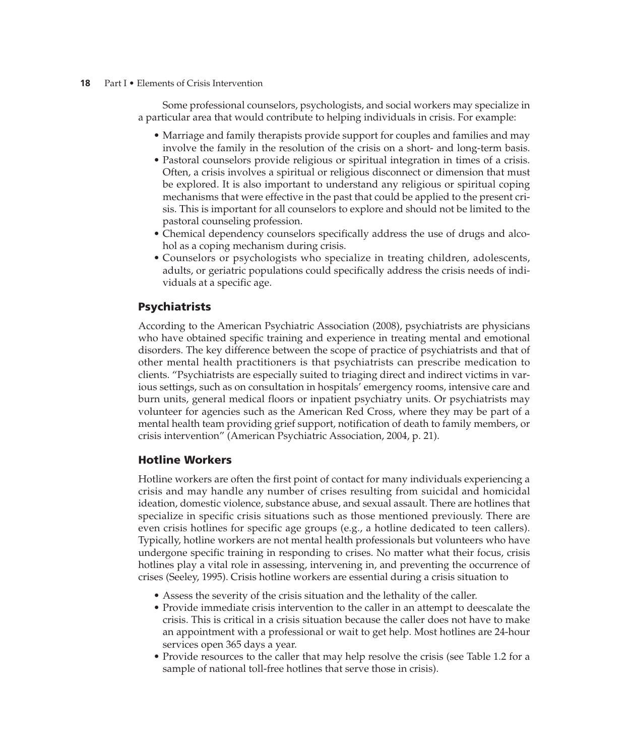Some professional counselors, psychologists, and social workers may specialize in a particular area that would contribute to helping individuals in crisis. For example:

- Marriage and family therapists provide support for couples and families and may involve the family in the resolution of the crisis on a short- and long-term basis.
- Pastoral counselors provide religious or spiritual integration in times of a crisis. Often, a crisis involves a spiritual or religious disconnect or dimension that must be explored. It is also important to understand any religious or spiritual coping mechanisms that were effective in the past that could be applied to the present crisis. This is important for all counselors to explore and should not be limited to the pastoral counseling profession.
- Chemical dependency counselors specifically address the use of drugs and alcohol as a coping mechanism during crisis.
- Counselors or psychologists who specialize in treating children, adolescents, adults, or geriatric populations could specifically address the crisis needs of individuals at a specific age.

# Psychiatrists

According to the American Psychiatric Association (2008), psychiatrists are physicians who have obtained specific training and experience in treating mental and emotional disorders. The key difference between the scope of practice of psychiatrists and that of other mental health practitioners is that psychiatrists can prescribe medication to clients. "Psychiatrists are especially suited to triaging direct and indirect victims in various settings, such as on consultation in hospitals' emergency rooms, intensive care and burn units, general medical floors or inpatient psychiatry units. Or psychiatrists may volunteer for agencies such as the American Red Cross, where they may be part of a mental health team providing grief support, notification of death to family members, or crisis intervention" (American Psychiatric Association, 2004, p. 21).

# Hotline Workers

Hotline workers are often the first point of contact for many individuals experiencing a crisis and may handle any number of crises resulting from suicidal and homicidal ideation, domestic violence, substance abuse, and sexual assault. There are hotlines that specialize in specific crisis situations such as those mentioned previously. There are even crisis hotlines for specific age groups (e.g., a hotline dedicated to teen callers). Typically, hotline workers are not mental health professionals but volunteers who have undergone specific training in responding to crises. No matter what their focus, crisis hotlines play a vital role in assessing, intervening in, and preventing the occurrence of crises (Seeley, 1995). Crisis hotline workers are essential during a crisis situation to

- Assess the severity of the crisis situation and the lethality of the caller.
- Provide immediate crisis intervention to the caller in an attempt to deescalate the crisis. This is critical in a crisis situation because the caller does not have to make an appointment with a professional or wait to get help. Most hotlines are 24-hour services open 365 days a year.
- Provide resources to the caller that may help resolve the crisis (see Table 1.2 for a sample of national toll-free hotlines that serve those in crisis).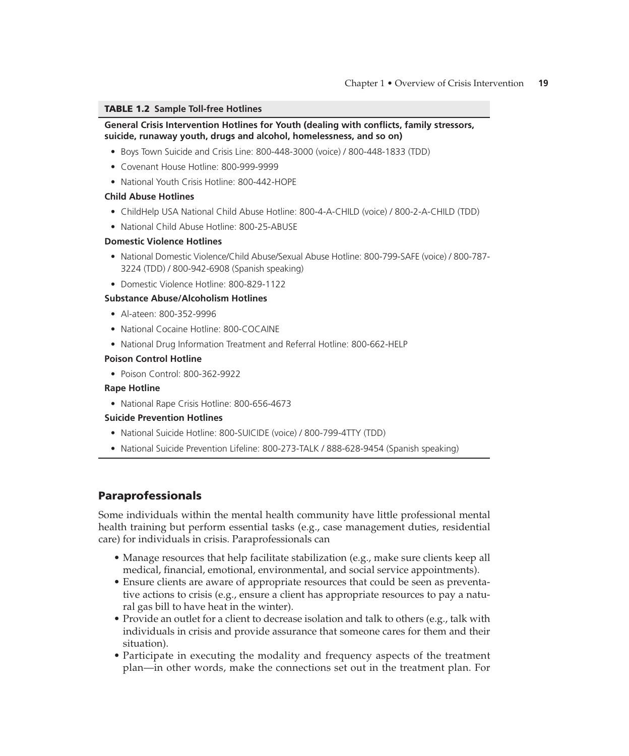### TABLE 1.2 **Sample Toll-free Hotlines**

### **General Crisis Intervention Hotlines for Youth (dealing with conflicts, family stressors, suicide, runaway youth, drugs and alcohol, homelessness, and so on)**

- Boys Town Suicide and Crisis Line: 800-448-3000 (voice) / 800-448-1833 (TDD)
- Covenant House Hotline: 800-999-9999
- National Youth Crisis Hotline: 800-442-HOPE

### **Child Abuse Hotlines**

- ChildHelp USA National Child Abuse Hotline: 800-4-A-CHILD (voice) / 800-2-A-CHILD (TDD)
- National Child Abuse Hotline: 800-25-ABUSE

#### **Domestic Violence Hotlines**

- National Domestic Violence/Child Abuse/Sexual Abuse Hotline: 800-799-SAFE (voice) / 800-787- 3224 (TDD) / 800-942-6908 (Spanish speaking)
- Domestic Violence Hotline: 800-829-1122

### **Substance Abuse/Alcoholism Hotlines**

- Al-ateen: 800-352-9996
- National Cocaine Hotline: 800-COCAINE
- National Drug Information Treatment and Referral Hotline: 800-662-HELP

### **Poison Control Hotline**

• Poison Control: 800-362-9922

### **Rape Hotline**

• National Rape Crisis Hotline: 800-656-4673

### **Suicide Prevention Hotlines**

- National Suicide Hotline: 800-SUICIDE (voice) / 800-799-4TTY (TDD)
- National Suicide Prevention Lifeline: 800-273-TALK / 888-628-9454 (Spanish speaking)

### Paraprofessionals

Some individuals within the mental health community have little professional mental health training but perform essential tasks (e.g., case management duties, residential care) for individuals in crisis. Paraprofessionals can

- Manage resources that help facilitate stabilization (e.g., make sure clients keep all medical, financial, emotional, environmental, and social service appointments).
- Ensure clients are aware of appropriate resources that could be seen as preventative actions to crisis (e.g., ensure a client has appropriate resources to pay a natural gas bill to have heat in the winter).
- Provide an outlet for a client to decrease isolation and talk to others (e.g., talk with individuals in crisis and provide assurance that someone cares for them and their situation).
- Participate in executing the modality and frequency aspects of the treatment plan—in other words, make the connections set out in the treatment plan. For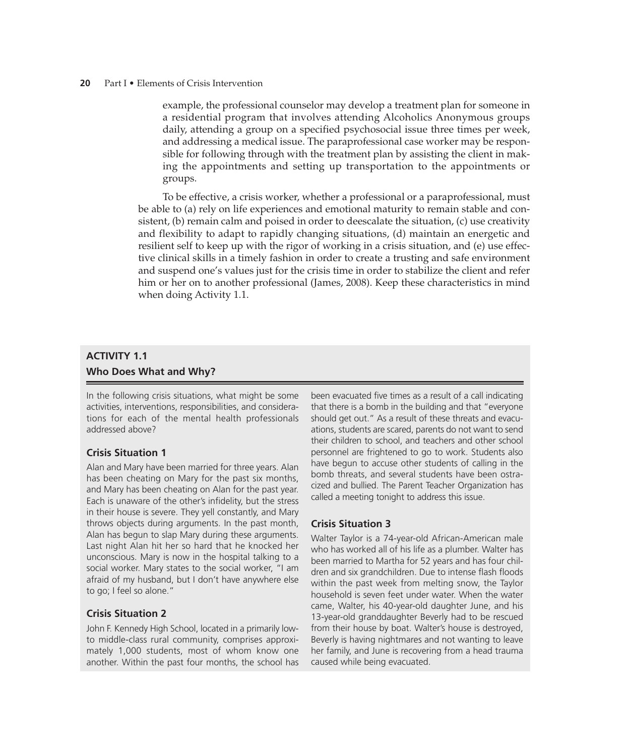example, the professional counselor may develop a treatment plan for someone in a residential program that involves attending Alcoholics Anonymous groups daily, attending a group on a specified psychosocial issue three times per week, and addressing a medical issue. The paraprofessional case worker may be responsible for following through with the treatment plan by assisting the client in making the appointments and setting up transportation to the appointments or groups.

To be effective, a crisis worker, whether a professional or a paraprofessional, must be able to (a) rely on life experiences and emotional maturity to remain stable and consistent, (b) remain calm and poised in order to deescalate the situation, (c) use creativity and flexibility to adapt to rapidly changing situations, (d) maintain an energetic and resilient self to keep up with the rigor of working in a crisis situation, and (e) use effective clinical skills in a timely fashion in order to create a trusting and safe environment and suspend one's values just for the crisis time in order to stabilize the client and refer him or her on to another professional (James, 2008). Keep these characteristics in mind when doing Activity 1.1.

# **ACTIVITY 1.1 Who Does What and Why?**

In the following crisis situations, what might be some activities, interventions, responsibilities, and considerations for each of the mental health professionals addressed above?

### **Crisis Situation 1**

Alan and Mary have been married for three years. Alan has been cheating on Mary for the past six months, and Mary has been cheating on Alan for the past year. Each is unaware of the other's infidelity, but the stress in their house is severe. They yell constantly, and Mary throws objects during arguments. In the past month, Alan has begun to slap Mary during these arguments. Last night Alan hit her so hard that he knocked her unconscious. Mary is now in the hospital talking to a social worker. Mary states to the social worker, "I am afraid of my husband, but I don't have anywhere else to go; I feel so alone."

# **Crisis Situation 2**

John F. Kennedy High School, located in a primarily lowto middle-class rural community, comprises approximately 1,000 students, most of whom know one another. Within the past four months, the school has been evacuated five times as a result of a call indicating that there is a bomb in the building and that "everyone should get out." As a result of these threats and evacuations, students are scared, parents do not want to send their children to school, and teachers and other school personnel are frightened to go to work. Students also have begun to accuse other students of calling in the bomb threats, and several students have been ostracized and bullied. The Parent Teacher Organization has called a meeting tonight to address this issue.

### **Crisis Situation 3**

Walter Taylor is a 74-year-old African-American male who has worked all of his life as a plumber. Walter has been married to Martha for 52 years and has four children and six grandchildren. Due to intense flash floods within the past week from melting snow, the Taylor household is seven feet under water. When the water came, Walter, his 40-year-old daughter June, and his 13-year-old granddaughter Beverly had to be rescued from their house by boat. Walter's house is destroyed, Beverly is having nightmares and not wanting to leave her family, and June is recovering from a head trauma caused while being evacuated.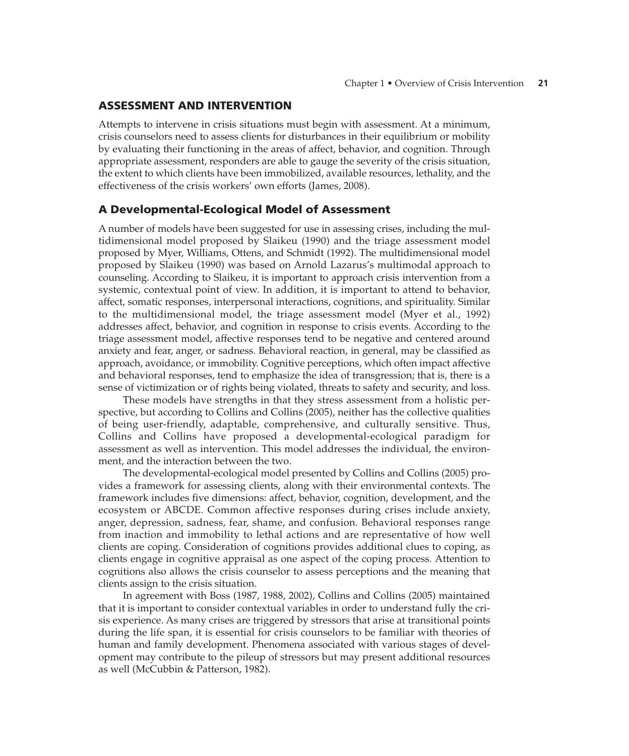### ASSESSMENT AND INTERVENTION

Attempts to intervene in crisis situations must begin with assessment. At a minimum, crisis counselors need to assess clients for disturbances in their equilibrium or mobility by evaluating their functioning in the areas of affect, behavior, and cognition. Through appropriate assessment, responders are able to gauge the severity of the crisis situation, the extent to which clients have been immobilized, available resources, lethality, and the effectiveness of the crisis workers' own efforts (James, 2008).

# A Developmental-Ecological Model of Assessment

A number of models have been suggested for use in assessing crises, including the multidimensional model proposed by Slaikeu (1990) and the triage assessment model proposed by Myer, Williams, Ottens, and Schmidt (1992). The multidimensional model proposed by Slaikeu (1990) was based on Arnold Lazarus's multimodal approach to counseling. According to Slaikeu, it is important to approach crisis intervention from a systemic, contextual point of view. In addition, it is important to attend to behavior, affect, somatic responses, interpersonal interactions, cognitions, and spirituality. Similar to the multidimensional model, the triage assessment model (Myer et al., 1992) addresses affect, behavior, and cognition in response to crisis events. According to the triage assessment model, affective responses tend to be negative and centered around anxiety and fear, anger, or sadness. Behavioral reaction, in general, may be classified as approach, avoidance, or immobility. Cognitive perceptions, which often impact affective and behavioral responses, tend to emphasize the idea of transgression; that is, there is a sense of victimization or of rights being violated, threats to safety and security, and loss.

These models have strengths in that they stress assessment from a holistic perspective, but according to Collins and Collins (2005), neither has the collective qualities of being user-friendly, adaptable, comprehensive, and culturally sensitive. Thus, Collins and Collins have proposed a developmental-ecological paradigm for assessment as well as intervention. This model addresses the individual, the environment, and the interaction between the two.

The developmental-ecological model presented by Collins and Collins (2005) provides a framework for assessing clients, along with their environmental contexts. The framework includes five dimensions: affect, behavior, cognition, development, and the ecosystem or ABCDE. Common affective responses during crises include anxiety, anger, depression, sadness, fear, shame, and confusion. Behavioral responses range from inaction and immobility to lethal actions and are representative of how well clients are coping. Consideration of cognitions provides additional clues to coping, as clients engage in cognitive appraisal as one aspect of the coping process. Attention to cognitions also allows the crisis counselor to assess perceptions and the meaning that clients assign to the crisis situation.

In agreement with Boss (1987, 1988, 2002), Collins and Collins (2005) maintained that it is important to consider contextual variables in order to understand fully the crisis experience. As many crises are triggered by stressors that arise at transitional points during the life span, it is essential for crisis counselors to be familiar with theories of human and family development. Phenomena associated with various stages of development may contribute to the pileup of stressors but may present additional resources as well (McCubbin & Patterson, 1982).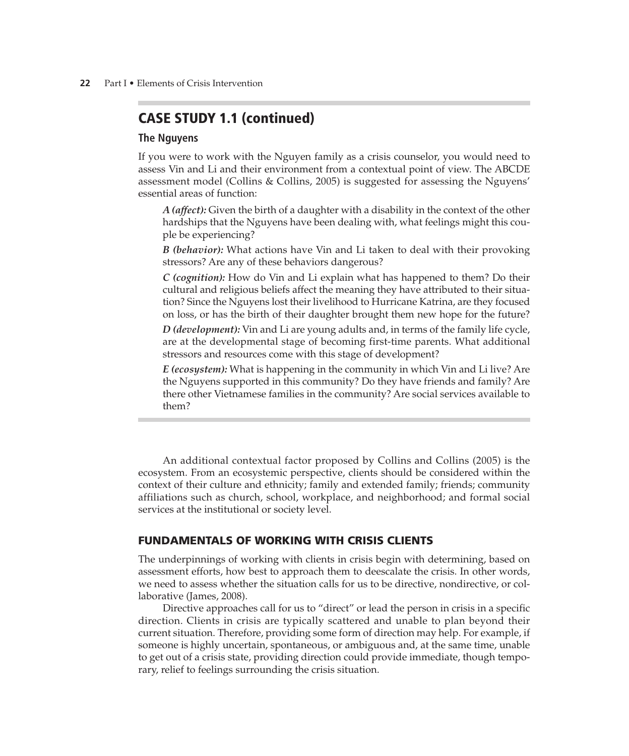# **CASE STUDY 1.1 (continued)**

### **The Nguyens**

If you were to work with the Nguyen family as a crisis counselor, you would need to assess Vin and Li and their environment from a contextual point of view. The ABCDE assessment model (Collins & Collins, 2005) is suggested for assessing the Nguyens' essential areas of function:

*A (affect):* Given the birth of a daughter with a disability in the context of the other hardships that the Nguyens have been dealing with, what feelings might this couple be experiencing?

*B (behavior):* What actions have Vin and Li taken to deal with their provoking stressors? Are any of these behaviors dangerous?

*C (cognition):* How do Vin and Li explain what has happened to them? Do their cultural and religious beliefs affect the meaning they have attributed to their situation? Since the Nguyens lost their livelihood to Hurricane Katrina, are they focused on loss, or has the birth of their daughter brought them new hope for the future?

*D (development):* Vin and Li are young adults and, in terms of the family life cycle, are at the developmental stage of becoming first-time parents. What additional stressors and resources come with this stage of development?

*E (ecosystem):* What is happening in the community in which Vin and Li live? Are the Nguyens supported in this community? Do they have friends and family? Are there other Vietnamese families in the community? Are social services available to them?

An additional contextual factor proposed by Collins and Collins (2005) is the ecosystem. From an ecosystemic perspective, clients should be considered within the context of their culture and ethnicity; family and extended family; friends; community affiliations such as church, school, workplace, and neighborhood; and formal social services at the institutional or society level.

# FUNDAMENTALS OF WORKING WITH CRISIS CLIENTS

The underpinnings of working with clients in crisis begin with determining, based on assessment efforts, how best to approach them to deescalate the crisis. In other words, we need to assess whether the situation calls for us to be directive, nondirective, or collaborative (James, 2008).

Directive approaches call for us to "direct" or lead the person in crisis in a specific direction. Clients in crisis are typically scattered and unable to plan beyond their current situation. Therefore, providing some form of direction may help. For example, if someone is highly uncertain, spontaneous, or ambiguous and, at the same time, unable to get out of a crisis state, providing direction could provide immediate, though temporary, relief to feelings surrounding the crisis situation.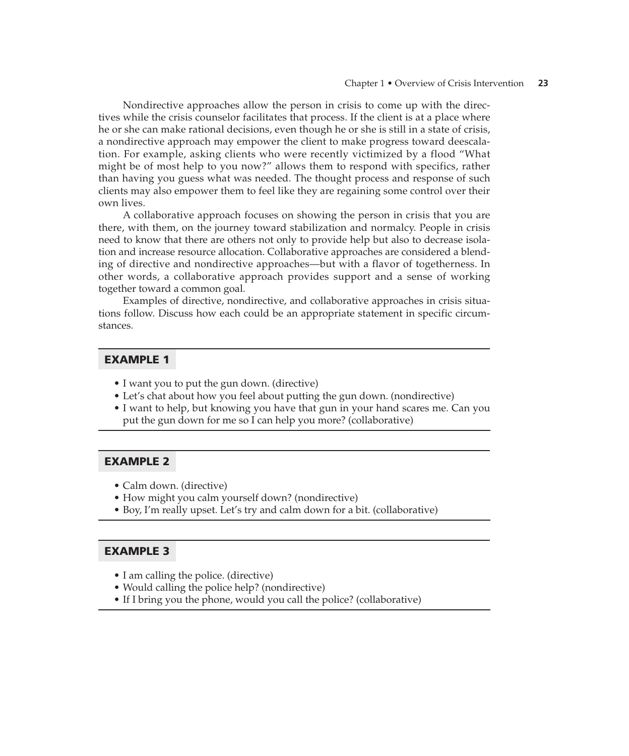#### Chapter 1 • Overview of Crisis Intervention **23**

Nondirective approaches allow the person in crisis to come up with the directives while the crisis counselor facilitates that process. If the client is at a place where he or she can make rational decisions, even though he or she is still in a state of crisis, a nondirective approach may empower the client to make progress toward deescalation. For example, asking clients who were recently victimized by a flood "What might be of most help to you now?" allows them to respond with specifics, rather than having you guess what was needed. The thought process and response of such clients may also empower them to feel like they are regaining some control over their own lives.

A collaborative approach focuses on showing the person in crisis that you are there, with them, on the journey toward stabilization and normalcy. People in crisis need to know that there are others not only to provide help but also to decrease isolation and increase resource allocation. Collaborative approaches are considered a blending of directive and nondirective approaches—but with a flavor of togetherness. In other words, a collaborative approach provides support and a sense of working together toward a common goal.

Examples of directive, nondirective, and collaborative approaches in crisis situations follow. Discuss how each could be an appropriate statement in specific circumstances.

# EXAMPLE 1

- I want you to put the gun down. (directive)
- Let's chat about how you feel about putting the gun down. (nondirective)
- I want to help, but knowing you have that gun in your hand scares me. Can you put the gun down for me so I can help you more? (collaborative)

# EXAMPLE 2

- Calm down. (directive)
- How might you calm yourself down? (nondirective)
- Boy, I'm really upset. Let's try and calm down for a bit. (collaborative)

# EXAMPLE 3

- I am calling the police. (directive)
- Would calling the police help? (nondirective)
- If I bring you the phone, would you call the police? (collaborative)